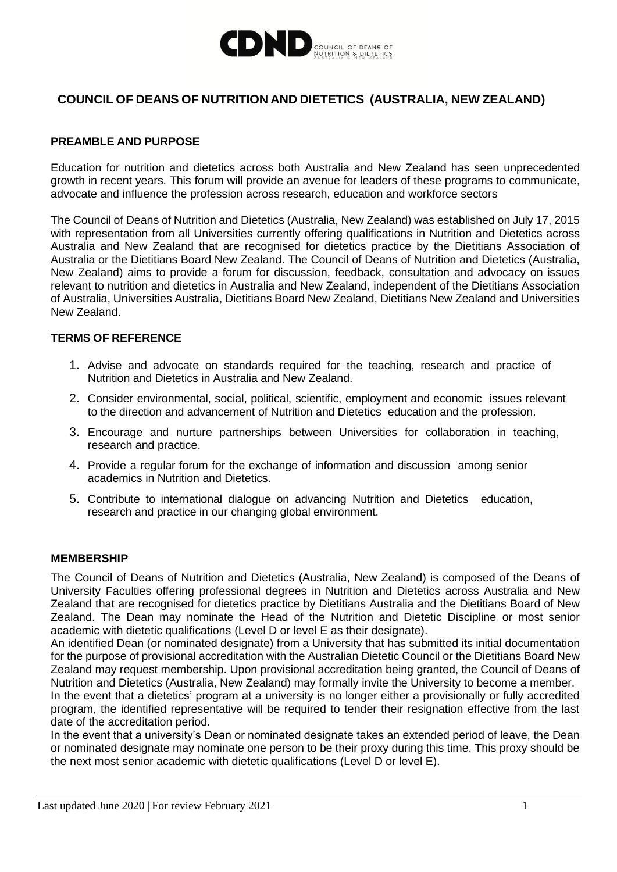

# **COUNCIL OF DEANS OF NUTRITION AND DIETETICS (AUSTRALIA, NEW ZEALAND)**

### **PREAMBLE AND PURPOSE**

Education for nutrition and dietetics across both Australia and New Zealand has seen unprecedented growth in recent years. This forum will provide an avenue for leaders of these programs to communicate, advocate and influence the profession across research, education and workforce sectors

The Council of Deans of Nutrition and Dietetics (Australia, New Zealand) was established on July 17, 2015 with representation from all Universities currently offering qualifications in Nutrition and Dietetics across Australia and New Zealand that are recognised for dietetics practice by the Dietitians Association of Australia or the Dietitians Board New Zealand. The Council of Deans of Nutrition and Dietetics (Australia, New Zealand) aims to provide a forum for discussion, feedback, consultation and advocacy on issues relevant to nutrition and dietetics in Australia and New Zealand, independent of the Dietitians Association of Australia, Universities Australia, Dietitians Board New Zealand, Dietitians New Zealand and Universities New Zealand.

#### **TERMS OF REFERENCE**

- 1. Advise and advocate on standards required for the teaching, research and practice of Nutrition and Dietetics in Australia and New Zealand.
- 2. Consider environmental, social, political, scientific, employment and economic issues relevant to the direction and advancement of Nutrition and Dietetics education and the profession.
- 3. Encourage and nurture partnerships between Universities for collaboration in teaching, research and practice.
- 4. Provide a regular forum for the exchange of information and discussion among senior academics in Nutrition and Dietetics.
- 5. Contribute to international dialogue on advancing Nutrition and Dietetics education, research and practice in our changing global environment.

### **MEMBERSHIP**

The Council of Deans of Nutrition and Dietetics (Australia, New Zealand) is composed of the Deans of University Faculties offering professional degrees in Nutrition and Dietetics across Australia and New Zealand that are recognised for dietetics practice by Dietitians Australia and the Dietitians Board of New Zealand. The Dean may nominate the Head of the Nutrition and Dietetic Discipline or most senior academic with dietetic qualifications (Level D or level E as their designate).

An identified Dean (or nominated designate) from a University that has submitted its initial documentation for the purpose of provisional accreditation with the Australian Dietetic Council or the Dietitians Board New Zealand may request membership. Upon provisional accreditation being granted, the Council of Deans of Nutrition and Dietetics (Australia, New Zealand) may formally invite the University to become a member.

In the event that a dietetics' program at a university is no longer either a provisionally or fully accredited program, the identified representative will be required to tender their resignation effective from the last date of the accreditation period.

In the event that a university's Dean or nominated designate takes an extended period of leave, the Dean or nominated designate may nominate one person to be their proxy during this time. This proxy should be the next most senior academic with dietetic qualifications (Level D or level E).